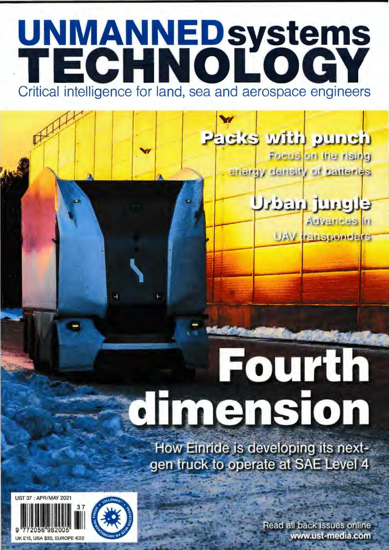### **UNMANNEDsystems TECHNOl:OGY**  Critical intelligence for land, sea and aerospace engineers

W

# Fourth dimension

denug ditu exer

energy density of patteries

Focus on the rising

<u>קוהוותן וודקון</u>

Advances In

UAV ransponders

How Einride is developing its nextgen truck to operate at SAE Level 4

> Read all back issues online www.ust-media.com

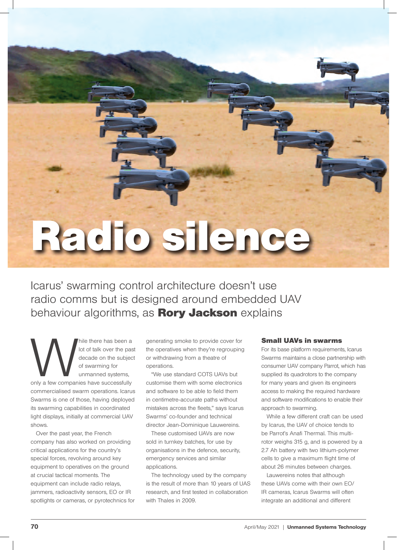## **Radio silence**

Icarus' swarming control architecture doesn't use radio comms but is designed around embedded UAV behaviour algorithms, as **Rory Jackson** explains

hile there has been a<br>
lot of talk over the pas<br>
decade on the subjec<br>
of swarming for<br>
unmanned systems,<br>
only a few companies have successfully lot of talk over the past decade on the subject of swarming for unmanned systems, commercialised swarm operations. Icarus Swarms is one of those, having deployed its swarming capabilities in coordinated light displays, initially at commercial UAV shows.

Over the past year, the French company has also worked on providing critical applications for the country's special forces, revolving around key equipment to operatives on the ground at crucial tactical moments. The equipment can include radio relays, jammers, radioactivity sensors, EO or IR spotlights or cameras, or pyrotechnics for generating smoke to provide cover for the operatives when they're regrouping or withdrawing from a theatre of operations.

"We use standard COTS UAVs but customise them with some electronics and software to be able to field them in centimetre-accurate paths without mistakes across the fleets," says Icarus Swarms' co-founder and technical director Jean-Dominique Lauwereins.

These customised UAVs are now sold in turnkey batches, for use by organisations in the defence, security, emergency services and similar applications.

The technology used by the company is the result of more than 10 years of UAS research, and first tested in collaboration with Thales in 2009.

#### **Small UAVs in swarms**

For its base platform requirements, Icarus Swarms maintains a close partnership with consumer UAV company Parrot, which has supplied its quadrotors to the company for many years and given its engineers access to making the required hardware and software modifications to enable their approach to swarming.

While a few different craft can be used by Icarus, the UAV of choice tends to be Parrot's Anafi Thermal. This multirotor weighs 315 g, and is powered by a 2.7 Ah battery with two lithium-polymer cells to give a maximum flight time of about 26 minutes between charges.

Lauwereins notes that although these UAVs come with their own EO/ IR cameras, Icarus Swarms will often integrate an additional and different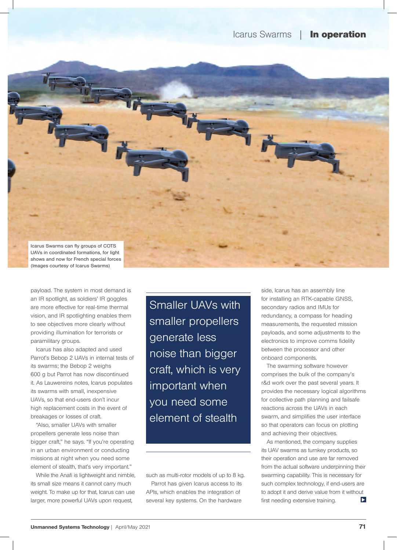

payload. The system in most demand is an IR spotlight, as soldiers' IR goggles are more effective for real-time thermal vision, and IR spotlighting enables them to see objectives more clearly without providing illumination for terrorists or paramilitary groups.

Icarus has also adapted and used Parrot's Bebop 2 UAVs in internal tests of its swarms; the Bebop 2 weighs 600 g but Parrot has now discontinued it. As Lauwereins notes, Icarus populates its swarms with small, inexpensive UAVs, so that end-users don't incur high replacement costs in the event of breakages or losses of craft.

"Also, smaller UAVs with smaller propellers generate less noise than bigger craft," he says. "If you're operating in an urban environment or conducting missions at night when you need some element of stealth, that's very important."

While the Anafi is lightweight and nimble, its small size means it cannot carry much weight. To make up for that, Icarus can use larger, more powerful UAVs upon request,

Smaller UAVs with smaller propellers generate less noise than bigger craft, which is very important when you need some element of stealth

such as multi-rotor models of up to 8 kg.

Parrot has given Icarus access to its APIs, which enables the integration of several key systems. On the hardware

side, Icarus has an assembly line for installing an RTK-capable GNSS, secondary radios and IMUs for redundancy, a compass for heading measurements, the requested mission payloads, and some adjustments to the electronics to improve comms fidelity between the processor and other onboard components.

The swarming software however comprises the bulk of the company's r&d work over the past several years. It provides the necessary logical algorithms for collective path planning and failsafe reactions across the UAVs in each swarm, and simplifies the user interface so that operators can focus on plotting and achieving their objectives.

As mentioned, the company supplies its UAV swarms as turnkey products, so their operation and use are far removed from the actual software underpinning their swarming capability. This is necessary for such complex technology, if end-users are to adopt it and derive value from it without first needing extensive training.  $\blacktriangleright$   $\vdash$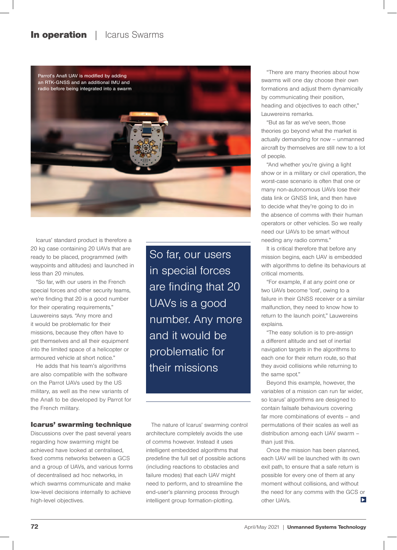

Icarus' standard product is therefore a 20 kg case containing 20 UAVs that are ready to be placed, programmed (with waypoints and altitudes) and launched in less than 20 minutes.

"So far, with our users in the French special forces and other security teams, we're finding that 20 is a good number for their operating requirements," Lauwereins says. "Any more and it would be problematic for their missions, because they often have to get themselves and all their equipment into the limited space of a helicopter or armoured vehicle at short notice."

He adds that his team's algorithms are also compatible with the software on the Parrot UAVs used by the US military, as well as the new variants of the Anafi to be developed by Parrot for the French military.

#### **Icarus' swarming technique**

Discussions over the past several years regarding how swarming might be achieved have looked at centralised, fixed comms networks between a GCS and a group of UAVs, and various forms of decentralised ad hoc networks, in which swarms communicate and make low-level decisions internally to achieve high-level objectives.

So far, our users in special forces are finding that 20 UAVs is a good number. Any more and it would be problematic for their missions

The nature of Icarus' swarming control architecture completely avoids the use of comms however. Instead it uses intelligent embedded algorithms that predefine the full set of possible actions (including reactions to obstacles and failure modes) that each UAV might need to perform, and to streamline the end-user's planning process through intelligent group formation-plotting.

"There are many theories about how swarms will one day choose their own formations and adjust them dynamically by communicating their position, heading and objectives to each other," Lauwereins remarks.

"But as far as we've seen, those theories go beyond what the market is actually demanding for now – unmanned aircraft by themselves are still new to a lot of people.

"And whether you're giving a light show or in a military or civil operation, the worst-case scenario is often that one or many non-autonomous UAVs lose their data link or GNSS link, and then have to decide what they're going to do in the absence of comms with their human operators or other vehicles. So we really need our UAVs to be smart without needing any radio comms."

It is critical therefore that before any mission begins, each UAV is embedded with algorithms to define its behaviours at critical moments.

"For example, if at any point one or two UAVs become 'lost', owing to a failure in their GNSS receiver or a similar malfunction, they need to know how to return to the launch point," Lauwereins explains.

"The easy solution is to pre-assign a different altitude and set of inertial navigation targets in the algorithms to each one for their return route, so that they avoid collisions while returning to the same spot."

Beyond this example, however, the variables of a mission can run far wider, so Icarus' algorithms are designed to contain failsafe behaviours covering far more combinations of events – and permutations of their scales as well as distribution among each UAV swarm – than just this.

Once the mission has been planned, each UAV will be launched with its own exit path, to ensure that a safe return is possible for every one of them at any moment without collisions, and without the need for any comms with the GCS or other UAVs. ы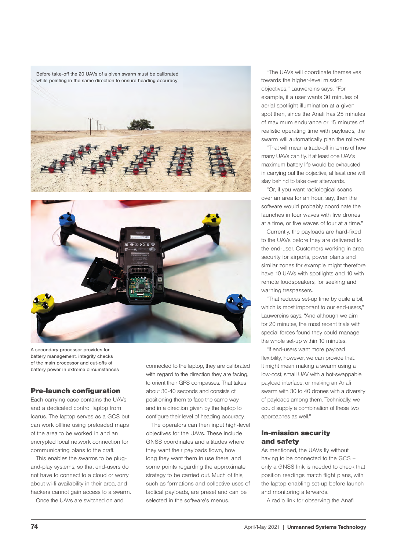



A secondary processor provides for battery management, integrity checks of the main processor and cut-offs of battery power in extreme circumstances

#### **Pre-launch configuration**

Each carrying case contains the UAVs and a dedicated control laptop from Icarus. The laptop serves as a GCS but can work offline using preloaded maps of the area to be worked in and an encrypted local network connection for communicating plans to the craft.

This enables the swarms to be plugand-play systems, so that end-users do not have to connect to a cloud or worry about wi-fi availability in their area, and hackers cannot gain access to a swarm.

Once the UAVs are switched on and

connected to the laptop, they are calibrated with regard to the direction they are facing, to orient their GPS compasses. That takes about 30-40 seconds and consists of positioning them to face the same way and in a direction given by the laptop to configure their level of heading accuracy.

The operators can then input high-level objectives for the UAVs. These include GNSS coordinates and altitudes where they want their payloads flown, how long they want them in use there, and some points regarding the approximate strategy to be carried out. Much of this, such as formations and collective uses of tactical payloads, are preset and can be selected in the software's menus.

"The UAVs will coordinate themselves towards the higher-level mission objectives," Lauwereins says. "For example, if a user wants 30 minutes of aerial spotlight illumination at a given spot then, since the Anafi has 25 minutes of maximum endurance or 15 minutes of realistic operating time with payloads, the swarm will automatically plan the rollover.

"That will mean a trade-off in terms of how many UAVs can fly. If at least one UAV's maximum battery life would be exhausted in carrying out the objective, at least one will stay behind to take over afterwards.

"Or, if you want radiological scans over an area for an hour, say, then the software would probably coordinate the launches in four waves with five drones at a time, or five waves of four at a time."

Currently, the payloads are hard-fixed to the UAVs before they are delivered to the end-user. Customers working in area security for airports, power plants and similar zones for example might therefore have 10 UAVs with spotlights and 10 with remote loudspeakers, for seeking and warning trespassers.

"That reduces set-up time by quite a bit, which is most important to our end-users," Lauwereins says. "And although we aim for 20 minutes, the most recent trials with special forces found they could manage the whole set-up within 10 minutes.

"If end-users want more payload flexibility, however, we can provide that. It might mean making a swarm using a low-cost, small UAV with a hot-swappable payload interface, or making an Anafi swarm with 30 to 40 drones with a diversity of payloads among them. Technically, we could supply a combination of these two approaches as well."

#### **In-mission security and safety**

As mentioned, the UAVs fly without having to be connected to the GCS – only a GNSS link is needed to check that position readings match flight plans, with the laptop enabling set-up before launch and monitoring afterwards.

A radio link for observing the Anafi